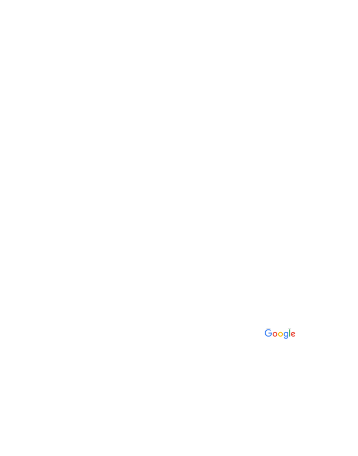## Google